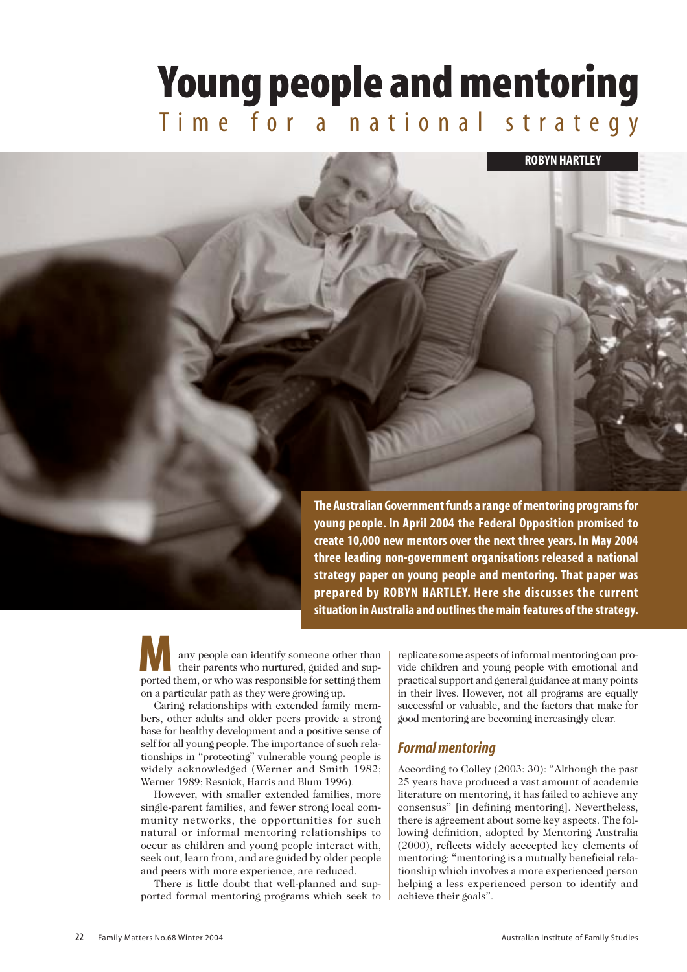# **Young people and mentoring**

Time for a national strategy

**ROBYN HARTLEY**

any people can identify someone other than **prepared by ROBYN HARTLEY. Here she discusses the current situation in Australia and outlines the main features of the strategy.**

their parents who nurtured, guided and supany people can identify someone other than<br>their parents who nurtured, guided and sup-<br>ported them, or who was responsible for setting them on a particular path as they were growing up.

Caring relationships with extended family members, other adults and older peers provide a strong base for healthy development and a positive sense of self for all young people. The importance of such relationships in "protecting" vulnerable young people is widely acknowledged (Werner and Smith 1982; Werner 1989; Resnick, Harris and Blum 1996).

However, with smaller extended families, more single-parent families, and fewer strong local community networks, the opportunities for such natural or informal mentoring relationships to occur as children and young people interact with, seek out, learn from, and are guided by older people and peers with more experience, are reduced.

There is little doubt that well-planned and supported formal mentoring programs which seek to replicate some aspects of informal mentoring can provide children and young people with emotional and practical support and general guidance at many points in their lives. However, not all programs are equally successful or valuable, and the factors that make for good mentoring are becoming increasingly clear.

# *Formal mentoring*

**The Australian Government funds a range of mentoring programs for young people. In April 2004 the Federal Opposition promised to create 10,000 new mentors over the next three years. In May 2004 three leading non-government organisations released a national strategy paper on young people and mentoring. That paper was** 

> According to Colley (2003: 30): "Although the past 25 years have produced a vast amount of academic literature on mentoring, it has failed to achieve any consensus" [in defining mentoring]. Nevertheless, there is agreement about some key aspects. The following definition, adopted by Mentoring Australia (2000), reflects widely acccepted key elements of mentoring: "mentoring is a mutually beneficial relationship which involves a more experienced person helping a less experienced person to identify and achieve their goals".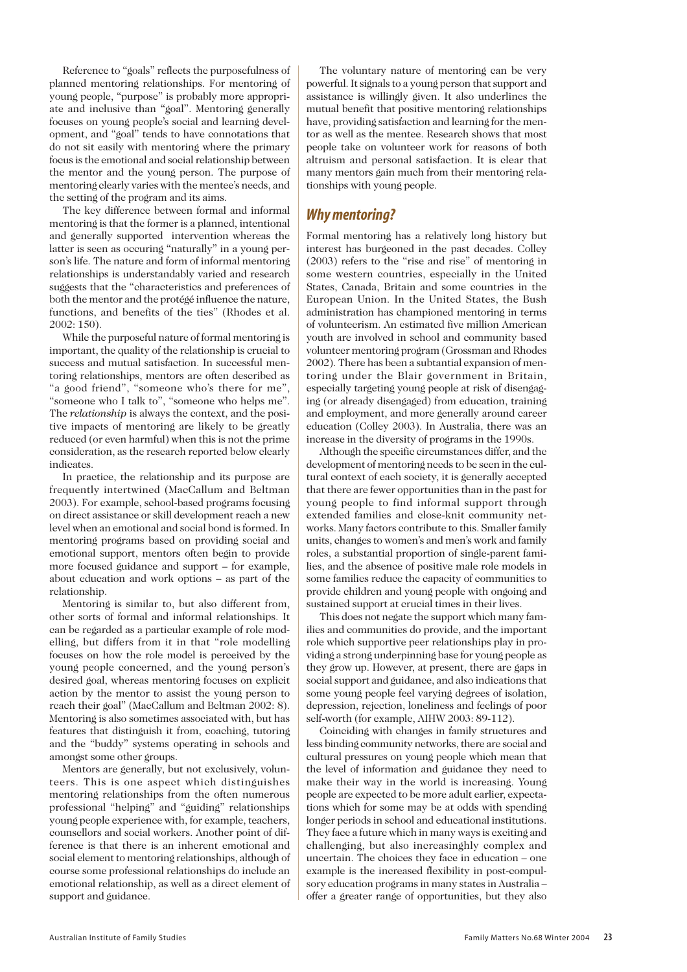Reference to "goals" reflects the purposefulness of planned mentoring relationships. For mentoring of young people, "purpose" is probably more appropriate and inclusive than "goal". Mentoring generally focuses on young people's social and learning development, and "goal" tends to have connotations that do not sit easily with mentoring where the primary focus is the emotional and social relationship between the mentor and the young person. The purpose of mentoring clearly varies with the mentee's needs, and the setting of the program and its aims.

The key difference between formal and informal mentoring is that the former is a planned, intentional and generally supported intervention whereas the latter is seen as occuring "naturally" in a young person's life. The nature and form of informal mentoring relationships is understandably varied and research suggests that the "characteristics and preferences of both the mentor and the protégé influence the nature, functions, and benefits of the ties" (Rhodes et al. 2002: 150).

While the purposeful nature of formal mentoring is important, the quality of the relationship is crucial to success and mutual satisfaction. In successful mentoring relationships, mentors are often described as "a good friend", "someone who's there for me", "someone who I talk to", "someone who helps me". The *relationship* is always the context, and the positive impacts of mentoring are likely to be greatly reduced (or even harmful) when this is not the prime consideration, as the research reported below clearly indicates.

In practice, the relationship and its purpose are frequently intertwined (MacCallum and Beltman 2003). For example, school-based programs focusing on direct assistance or skill development reach a new level when an emotional and social bond is formed. In mentoring programs based on providing social and emotional support, mentors often begin to provide more focused guidance and support – for example, about education and work options – as part of the relationship.

Mentoring is similar to, but also different from, other sorts of formal and informal relationships. It can be regarded as a particular example of role modelling, but differs from it in that "role modelling focuses on how the role model is perceived by the young people concerned, and the young person's desired goal, whereas mentoring focuses on explicit action by the mentor to assist the young person to reach their goal" (MacCallum and Beltman 2002: 8). Mentoring is also sometimes associated with, but has features that distinguish it from, coaching, tutoring and the "buddy" systems operating in schools and amongst some other groups.

Mentors are generally, but not exclusively, volunteers. This is one aspect which distinguishes mentoring relationships from the often numerous professional "helping" and "guiding" relationships young people experience with, for example, teachers, counsellors and social workers. Another point of difference is that there is an inherent emotional and social element to mentoring relationships, although of course some professional relationships do include an emotional relationship, as well as a direct element of support and guidance.

The voluntary nature of mentoring can be very powerful. It signals to a young person that support and assistance is willingly given. It also underlines the mutual benefit that positive mentoring relationships have, providing satisfaction and learning for the mentor as well as the mentee. Research shows that most people take on volunteer work for reasons of both altruism and personal satisfaction. It is clear that many mentors gain much from their mentoring relationships with young people.

# *Why mentoring?*

Formal mentoring has a relatively long history but interest has burgeoned in the past decades. Colley (2003) refers to the "rise and rise" of mentoring in some western countries, especially in the United States, Canada, Britain and some countries in the European Union. In the United States, the Bush administration has championed mentoring in terms of volunteerism. An estimated five million American youth are involved in school and community based volunteer mentoring program (Grossman and Rhodes 2002). There has been a subtantial expansion of mentoring under the Blair government in Britain, especially targeting young people at risk of disengaging (or already disengaged) from education, training and employment, and more generally around career education (Colley 2003). In Australia, there was an increase in the diversity of programs in the 1990s.

Although the specific circumstances differ, and the development of mentoring needs to be seen in the cultural context of each society, it is generally accepted that there are fewer opportunities than in the past for young people to find informal support through extended families and close-knit community networks. Many factors contribute to this. Smaller family units, changes to women's and men's work and family roles, a substantial proportion of single-parent families, and the absence of positive male role models in some families reduce the capacity of communities to provide children and young people with ongoing and sustained support at crucial times in their lives.

This does not negate the support which many families and communities do provide, and the important role which supportive peer relationships play in providing a strong underpinning base for young people as they grow up. However, at present, there are gaps in social support and guidance, and also indications that some young people feel varying degrees of isolation, depression, rejection, loneliness and feelings of poor self-worth (for example, AIHW 2003: 89-112).

Coinciding with changes in family structures and less binding community networks, there are social and cultural pressures on young people which mean that the level of information and guidance they need to make their way in the world is increasing. Young people are expected to be more adult earlier, expectations which for some may be at odds with spending longer periods in school and educational institutions. They face a future which in many ways is exciting and challenging, but also increasinghly complex and uncertain. The choices they face in education – one example is the increased flexibility in post-compulsory education programs in many states in Australia – offer a greater range of opportunities, but they also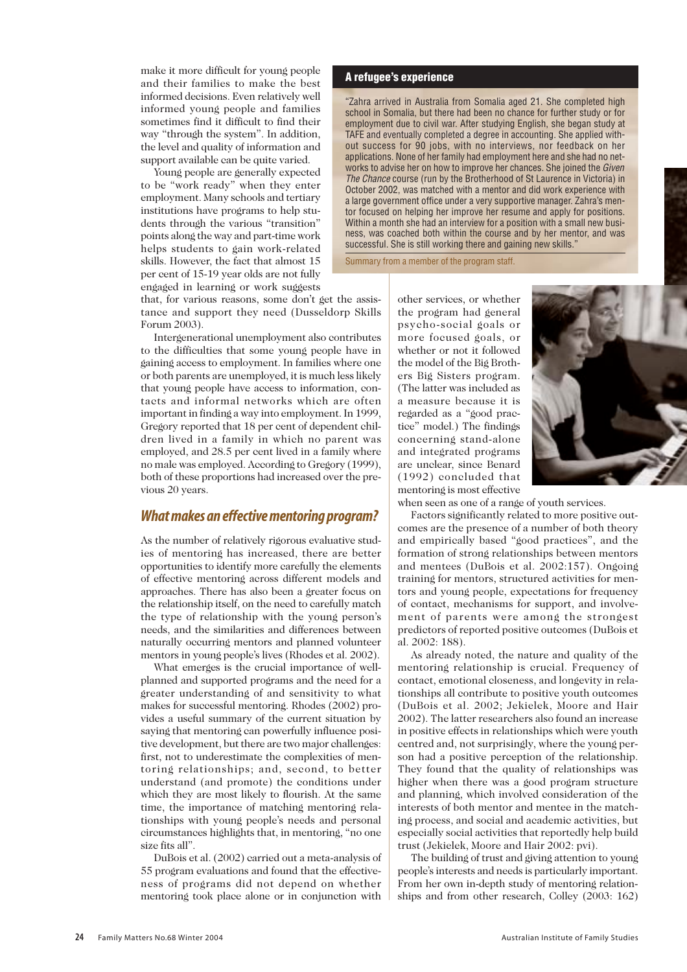make it more difficult for young people and their families to make the best informed decisions. Even relatively well informed young people and families sometimes find it difficult to find their way "through the system". In addition, the level and quality of information and support available can be quite varied.

Young people are generally expected to be "work ready" when they enter employment. Many schools and tertiary institutions have programs to help students through the various "transition" points along the way and part-time work helps students to gain work-related skills. However, the fact that almost 15 per cent of 15-19 year olds are not fully engaged in learning or work suggests

that, for various reasons, some don't get the assistance and support they need (Dusseldorp Skills Forum 2003).

Intergenerational unemployment also contributes to the difficulties that some young people have in gaining access to employment. In families where one or both parents are unemployed, it is much less likely that young people have access to information, contacts and informal networks which are often important in finding a way into employment. In 1999, Gregory reported that 18 per cent of dependent children lived in a family in which no parent was employed, and 28.5 per cent lived in a family where no male was employed. According to Gregory (1999), both of these proportions had increased over the previous 20 years.

## *What makes an effective mentoring program?*

As the number of relatively rigorous evaluative studies of mentoring has increased, there are better opportunities to identify more carefully the elements of effective mentoring across different models and approaches. There has also been a greater focus on the relationship itself, on the need to carefully match the type of relationship with the young person's needs, and the similarities and differences between naturally occurring mentors and planned volunteer mentors in young people's lives (Rhodes et al. 2002).

What emerges is the crucial importance of wellplanned and supported programs and the need for a greater understanding of and sensitivity to what makes for successful mentoring. Rhodes (2002) provides a useful summary of the current situation by saying that mentoring can powerfully influence positive development, but there are two major challenges: first, not to underestimate the complexities of mentoring relationships; and, second, to better understand (and promote) the conditions under which they are most likely to flourish. At the same time, the importance of matching mentoring relationships with young people's needs and personal circumstances highlights that, in mentoring, "no one size fits all".

DuBois et al. (2002) carried out a meta-analysis of 55 program evaluations and found that the effectiveness of programs did not depend on whether mentoring took place alone or in conjunction with

#### **A refugee's experience**

"Zahra arrived in Australia from Somalia aged 21. She completed high school in Somalia, but there had been no chance for further study or for employment due to civil war. After studying English, she began study at TAFE and eventually completed a degree in accounting. She applied without success for 90 jobs, with no interviews, nor feedback on her applications. None of her family had employment here and she had no networks to advise her on how to improve her chances. She joined the *Given The Chance* course (run by the Brotherhood of St Laurence in Victoria) in October 2002, was matched with a mentor and did work experience with a large government office under a very supportive manager. Zahra's mentor focused on helping her improve her resume and apply for positions. Within a month she had an interview for a position with a small new business, was coached both within the course and by her mentor, and was successful. She is still working there and gaining new skills."

Summary from a member of the program staff.

other services, or whether the program had general psycho-social goals or more focused goals, or whether or not it followed the model of the Big Brothers Big Sisters program. (The latter was included as a measure because it is regarded as a "good practice" model.) The findings concerning stand-alone and integrated programs are unclear, since Benard (1992) concluded that mentoring is most effective



when seen as one of a range of youth services.

Factors significantly related to more positive outcomes are the presence of a number of both theory and empirically based "good practices", and the formation of strong relationships between mentors and mentees (DuBois et al. 2002:157). Ongoing training for mentors, structured activities for mentors and young people, expectations for frequency of contact, mechanisms for support, and involvement of parents were among the strongest predictors of reported positive outcomes (DuBois et al. 2002: 188).

As already noted, the nature and quality of the mentoring relationship is crucial. Frequency of contact, emotional closeness, and longevity in relationships all contribute to positive youth outcomes (DuBois et al. 2002; Jekielek, Moore and Hair 2002). The latter researchers also found an increase in positive effects in relationships which were youth centred and, not surprisingly, where the young person had a positive perception of the relationship. They found that the quality of relationships was higher when there was a good program structure and planning, which involved consideration of the interests of both mentor and mentee in the matching process, and social and academic activities, but especially social activities that reportedly help build trust (Jekielek, Moore and Hair 2002: pvi).

The building of trust and giving attention to young people's interests and needs is particularly important. From her own in-depth study of mentoring relationships and from other research, Colley (2003: 162)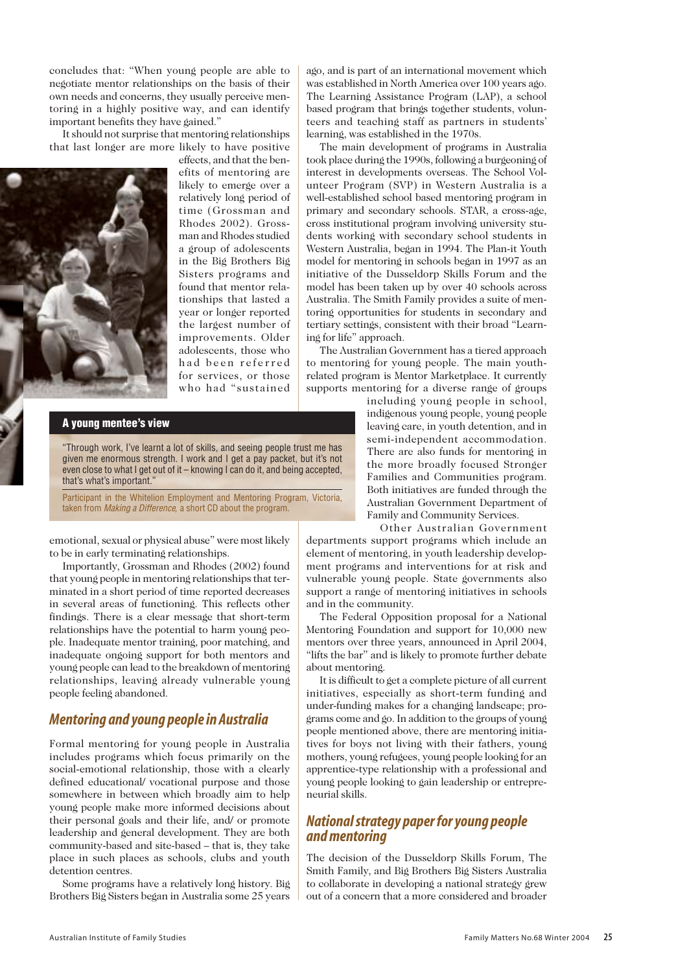concludes that: "When young people are able to negotiate mentor relationships on the basis of their own needs and concerns, they usually perceive mentoring in a highly positive way, and can identify important benefits they have gained."

It should not surprise that mentoring relationships that last longer are more likely to have positive



effects, and that the benefits of mentoring are likely to emerge over a relatively long period of time (Grossman and Rhodes 2002). Grossman and Rhodes studied a group of adolescents in the Big Brothers Big Sisters programs and found that mentor relationships that lasted a year or longer reported the largest number of improvements. Older adolescents, those who had been referred for services, or those who had "sustained

**A young mentee's view**

"Through work, I've learnt a lot of skills, and seeing people trust me has given me enormous strength. I work and I get a pay packet, but it's not even close to what I get out of it – knowing I can do it, and being accepted, that's what's important."

Participant in the Whitelion Employment and Mentoring Program, Victoria, taken from *Making a Difference,* a short CD about the program.

emotional, sexual or physical abuse" were most likely to be in early terminating relationships.

Importantly, Grossman and Rhodes (2002) found that young people in mentoring relationships that terminated in a short period of time reported decreases in several areas of functioning. This reflects other findings. There is a clear message that short-term relationships have the potential to harm young people. Inadequate mentor training, poor matching, and inadequate ongoing support for both mentors and young people can lead to the breakdown of mentoring relationships, leaving already vulnerable young people feeling abandoned.

# *Mentoring and young people in Australia*

Formal mentoring for young people in Australia includes programs which focus primarily on the social-emotional relationship, those with a clearly defined educational/ vocational purpose and those somewhere in between which broadly aim to help young people make more informed decisions about their personal goals and their life, and/ or promote leadership and general development. They are both community-based and site-based – that is, they take place in such places as schools, clubs and youth detention centres.

Some programs have a relatively long history. Big Brothers Big Sisters began in Australia some 25 years

ago, and is part of an international movement which was established in North America over 100 years ago. The Learning Assistance Program (LAP), a school based program that brings together students, volunteers and teaching staff as partners in students' learning, was established in the 1970s.

The main development of programs in Australia took place during the 1990s, following a burgeoning of interest in developments overseas. The School Volunteer Program (SVP) in Western Australia is a well-established school based mentoring program in primary and secondary schools. STAR, a cross-age, cross institutional program involving university students working with secondary school students in Western Australia, began in 1994. The Plan-it Youth model for mentoring in schools began in 1997 as an initiative of the Dusseldorp Skills Forum and the model has been taken up by over 40 schools across Australia. The Smith Family provides a suite of mentoring opportunities for students in secondary and tertiary settings, consistent with their broad "Learning for life" approach.

The Australian Government has a tiered approach to mentoring for young people. The main youthrelated program is Mentor Marketplace. It currently supports mentoring for a diverse range of groups

including young people in school, indigenous young people, young people leaving care, in youth detention, and in semi-independent accommodation. There are also funds for mentoring in the more broadly focused Stronger Families and Communities program. Both initiatives are funded through the Australian Government Department of Family and Community Services.

Other Australian Government departments support programs which include an element of mentoring, in youth leadership development programs and interventions for at risk and vulnerable young people. State governments also support a range of mentoring initiatives in schools and in the community.

The Federal Opposition proposal for a National Mentoring Foundation and support for 10,000 new mentors over three years, announced in April 2004, "lifts the bar" and is likely to promote further debate about mentoring.

It is difficult to get a complete picture of all current initiatives, especially as short-term funding and under-funding makes for a changing landscape; programs come and go. In addition to the groups of young people mentioned above, there are mentoring initiatives for boys not living with their fathers, young mothers, young refugees, young people looking for an apprentice-type relationship with a professional and young people looking to gain leadership or entrepreneurial skills.

# *National strategy paper for young people and mentoring*

The decision of the Dusseldorp Skills Forum, The Smith Family, and Big Brothers Big Sisters Australia to collaborate in developing a national strategy grew out of a concern that a more considered and broader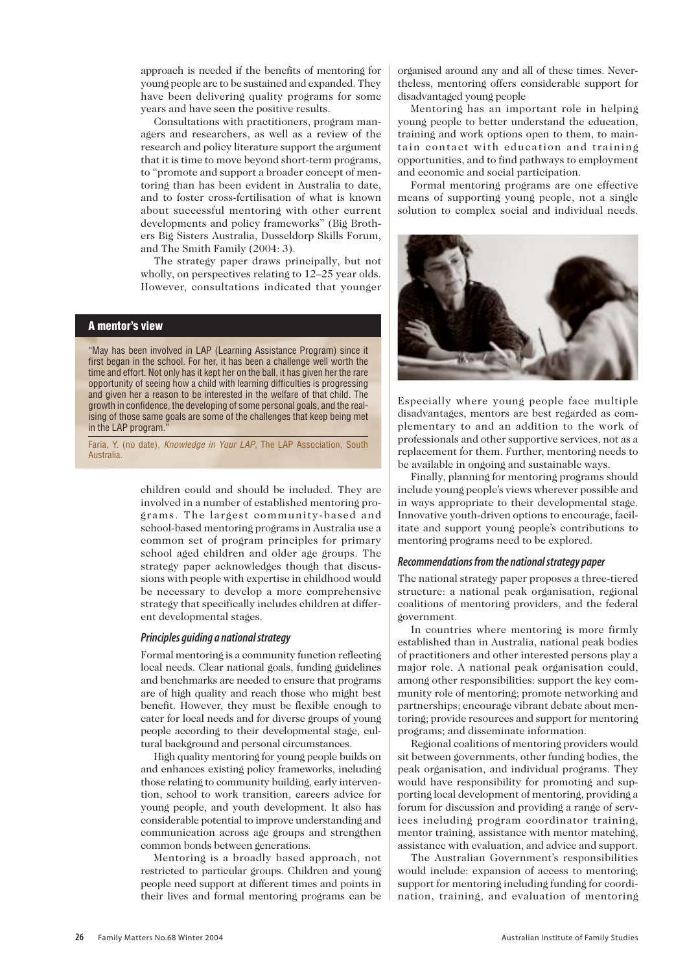approach is needed if the benefits of mentoring for young people are to be sustained and expanded. They have been delivering quality programs for some years and have seen the positive results.

Consultations with practitioners, program managers and researchers, as well as a review of the research and policy literature support the argument that it is time to move beyond short-term programs, to "promote and support a broader concept of mentoring than has been evident in Australia to date, and to foster cross-fertilisation of what is known about successful mentoring with other current developments and policy frameworks" (Big Brothers Big Sisters Australia, Dusseldorp Skills Forum, and The Smith Family (2004: 3).

The strategy paper draws principally, but not wholly, on perspectives relating to 12–25 year olds. However, consultations indicated that younger

## **A mentor's view**

"May has been involved in LAP (Learning Assistance Program) since it first began in the school. For her, it has been a challenge well worth the time and effort. Not only has it kept her on the ball, it has given her the rare opportunity of seeing how a child with learning difficulties is progressing and given her a reason to be interested in the welfare of that child. The growth in confidence, the developing of some personal goals, and the realising of those same goals are some of the challenges that keep being met in the LAP program.

Faria, Y. (no date), *Knowledge in Your LAP*, The LAP Association, South Australia.

> children could and should be included. They are involved in a number of established mentoring programs. The largest community-based and school-based mentoring programs in Australia use a common set of program principles for primary school aged children and older age groups. The strategy paper acknowledges though that discussions with people with expertise in childhood would be necessary to develop a more comprehensive strategy that specifically includes children at different developmental stages.

## *Principles guiding a national strategy*

Formal mentoring is a community function reflecting local needs. Clear national goals, funding guidelines and benchmarks are needed to ensure that programs are of high quality and reach those who might best benefit. However, they must be flexible enough to cater for local needs and for diverse groups of young people according to their developmental stage, cultural background and personal circumstances.

High quality mentoring for young people builds on and enhances existing policy frameworks, including those relating to community building, early intervention, school to work transition, careers advice for young people, and youth development. It also has considerable potential to improve understanding and communication across age groups and strengthen common bonds between generations.

Mentoring is a broadly based approach, not restricted to particular groups. Children and young people need support at different times and points in their lives and formal mentoring programs can be

organised around any and all of these times. Nevertheless, mentoring offers considerable support for disadvantaged young people

Mentoring has an important role in helping young people to better understand the education, training and work options open to them, to maintain contact with education and training opportunities, and to find pathways to employment and economic and social participation.

Formal mentoring programs are one effective means of supporting young people, not a single solution to complex social and individual needs.



Especially where young people face multiple disadvantages, mentors are best regarded as complementary to and an addition to the work of professionals and other supportive services, not as a replacement for them. Further, mentoring needs to be available in ongoing and sustainable ways.

Finally, planning for mentoring programs should include young people's views wherever possible and in ways appropriate to their developmental stage. Innovative youth-driven options to encourage, facilitate and support young people's contributions to mentoring programs need to be explored.

#### *Recommendations from the national strategy paper*

The national strategy paper proposes a three-tiered structure: a national peak organisation, regional coalitions of mentoring providers, and the federal government.

In countries where mentoring is more firmly established than in Australia, national peak bodies of practitioners and other interested persons play a major role. A national peak organisation could, among other responsibilities: support the key community role of mentoring; promote networking and partnerships; encourage vibrant debate about mentoring; provide resources and support for mentoring programs; and disseminate information.

Regional coalitions of mentoring providers would sit between governments, other funding bodies, the peak organisation, and individual programs. They would have responsibility for promoting and supporting local development of mentoring, providing a forum for discussion and providing a range of services including program coordinator training, mentor training, assistance with mentor matching, assistance with evaluation, and advice and support.

The Australian Government's responsibilities would include: expansion of access to mentoring; support for mentoring including funding for coordination, training, and evaluation of mentoring